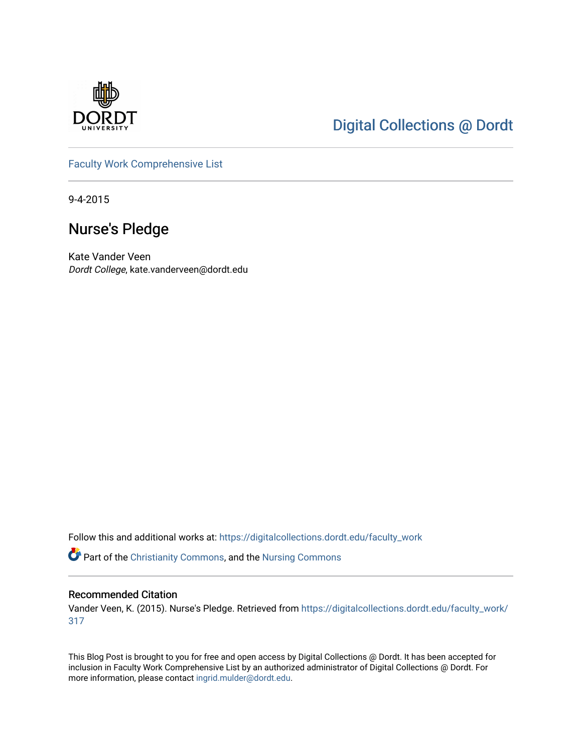

## [Digital Collections @ Dordt](https://digitalcollections.dordt.edu/)

[Faculty Work Comprehensive List](https://digitalcollections.dordt.edu/faculty_work)

9-4-2015

## Nurse's Pledge

Kate Vander Veen Dordt College, kate.vanderveen@dordt.edu

Follow this and additional works at: [https://digitalcollections.dordt.edu/faculty\\_work](https://digitalcollections.dordt.edu/faculty_work?utm_source=digitalcollections.dordt.edu%2Ffaculty_work%2F317&utm_medium=PDF&utm_campaign=PDFCoverPages) 

Part of the [Christianity Commons,](http://network.bepress.com/hgg/discipline/1181?utm_source=digitalcollections.dordt.edu%2Ffaculty_work%2F317&utm_medium=PDF&utm_campaign=PDFCoverPages) and the [Nursing Commons](http://network.bepress.com/hgg/discipline/718?utm_source=digitalcollections.dordt.edu%2Ffaculty_work%2F317&utm_medium=PDF&utm_campaign=PDFCoverPages)

#### Recommended Citation

Vander Veen, K. (2015). Nurse's Pledge. Retrieved from [https://digitalcollections.dordt.edu/faculty\\_work/](https://digitalcollections.dordt.edu/faculty_work/317?utm_source=digitalcollections.dordt.edu%2Ffaculty_work%2F317&utm_medium=PDF&utm_campaign=PDFCoverPages) [317](https://digitalcollections.dordt.edu/faculty_work/317?utm_source=digitalcollections.dordt.edu%2Ffaculty_work%2F317&utm_medium=PDF&utm_campaign=PDFCoverPages) 

This Blog Post is brought to you for free and open access by Digital Collections @ Dordt. It has been accepted for inclusion in Faculty Work Comprehensive List by an authorized administrator of Digital Collections @ Dordt. For more information, please contact [ingrid.mulder@dordt.edu.](mailto:ingrid.mulder@dordt.edu)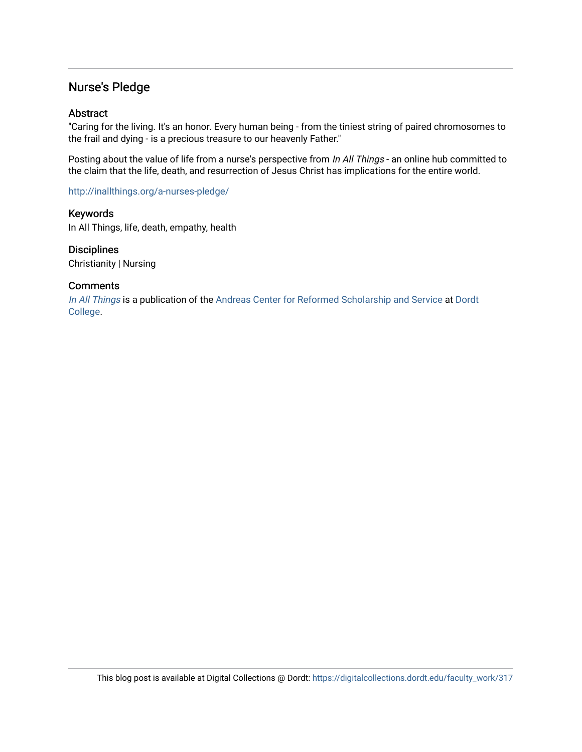### Nurse's Pledge

#### Abstract

"Caring for the living. It's an honor. Every human being - from the tiniest string of paired chromosomes to the frail and dying - is a precious treasure to our heavenly Father."

Posting about the value of life from a nurse's perspective from In All Things - an online hub committed to the claim that the life, death, and resurrection of Jesus Christ has implications for the entire world.

<http://inallthings.org/a-nurses-pledge/>

Keywords In All Things, life, death, empathy, health

**Disciplines** Christianity | Nursing

#### **Comments**

[In All Things](http://inallthings.org/) is a publication of the [Andreas Center for Reformed Scholarship and Service](http://www.dordt.edu/services_support/andreas_center/) at Dordt [College](http://www.dordt.edu/).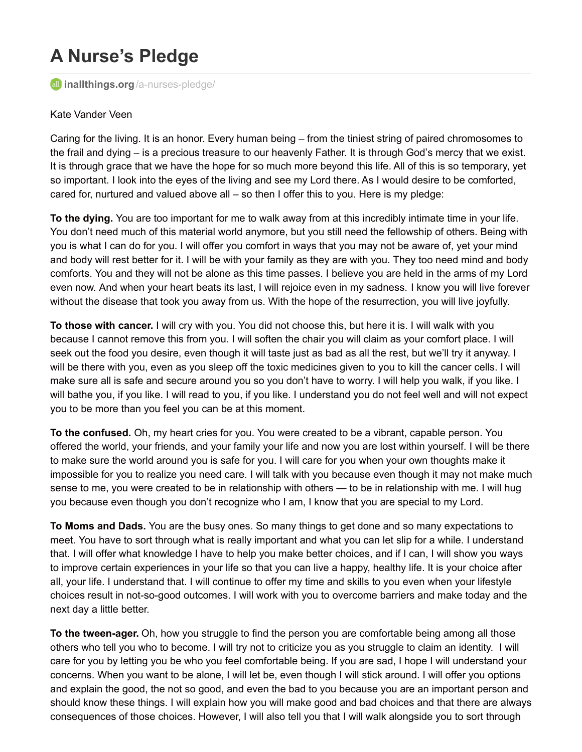# **A Nurse's Pledge**

**inalithings.org**[/a-nurses-pledge/](http://inallthings.org/a-nurses-pledge/)

#### Kate Vander Veen

Caring for the living. It is an honor. Every human being – from the tiniest string of paired chromosomes to the frail and dying – is a precious treasure to our heavenly Father. It is through God's mercy that we exist. It is through grace that we have the hope for so much more beyond this life. All of this is so temporary, yet so important. I look into the eyes of the living and see my Lord there. As I would desire to be comforted, cared for, nurtured and valued above all – so then I offer this to you. Here is my pledge:

**To the dying.** You are too important for me to walk away from at this incredibly intimate time in your life. You don't need much of this material world anymore, but you still need the fellowship of others. Being with you is what I can do for you. I will offer you comfort in ways that you may not be aware of, yet your mind and body will rest better for it. I will be with your family as they are with you. They too need mind and body comforts. You and they will not be alone as this time passes. I believe you are held in the arms of my Lord even now. And when your heart beats its last, I will rejoice even in my sadness. I know you will live forever without the disease that took you away from us. With the hope of the resurrection, you will live joyfully.

**To those with cancer.** I will cry with you. You did not choose this, but here it is. I will walk with you because I cannot remove this from you. I will soften the chair you will claim as your comfort place. I will seek out the food you desire, even though it will taste just as bad as all the rest, but we'll try it anyway. I will be there with you, even as you sleep off the toxic medicines given to you to kill the cancer cells. I will make sure all is safe and secure around you so you don't have to worry. I will help you walk, if you like. I will bathe you, if you like. I will read to you, if you like. I understand you do not feel well and will not expect you to be more than you feel you can be at this moment.

**To the confused.** Oh, my heart cries for you. You were created to be a vibrant, capable person. You offered the world, your friends, and your family your life and now you are lost within yourself. I will be there to make sure the world around you is safe for you. I will care for you when your own thoughts make it impossible for you to realize you need care. I will talk with you because even though it may not make much sense to me, you were created to be in relationship with others — to be in relationship with me. I will hug you because even though you don't recognize who I am, I know that you are special to my Lord.

**To Moms and Dads.** You are the busy ones. So many things to get done and so many expectations to meet. You have to sort through what is really important and what you can let slip for a while. I understand that. I will offer what knowledge I have to help you make better choices, and if I can, I will show you ways to improve certain experiences in your life so that you can live a happy, healthy life. It is your choice after all, your life. I understand that. I will continue to offer my time and skills to you even when your lifestyle choices result in not-so-good outcomes. I will work with you to overcome barriers and make today and the next day a little better.

**To the tween-ager.** Oh, how you struggle to find the person you are comfortable being among all those others who tell you who to become. I will try not to criticize you as you struggle to claim an identity. I will care for you by letting you be who you feel comfortable being. If you are sad, I hope I will understand your concerns. When you want to be alone, I will let be, even though I will stick around. I will offer you options and explain the good, the not so good, and even the bad to you because you are an important person and should know these things. I will explain how you will make good and bad choices and that there are always consequences of those choices. However, I will also tell you that I will walk alongside you to sort through